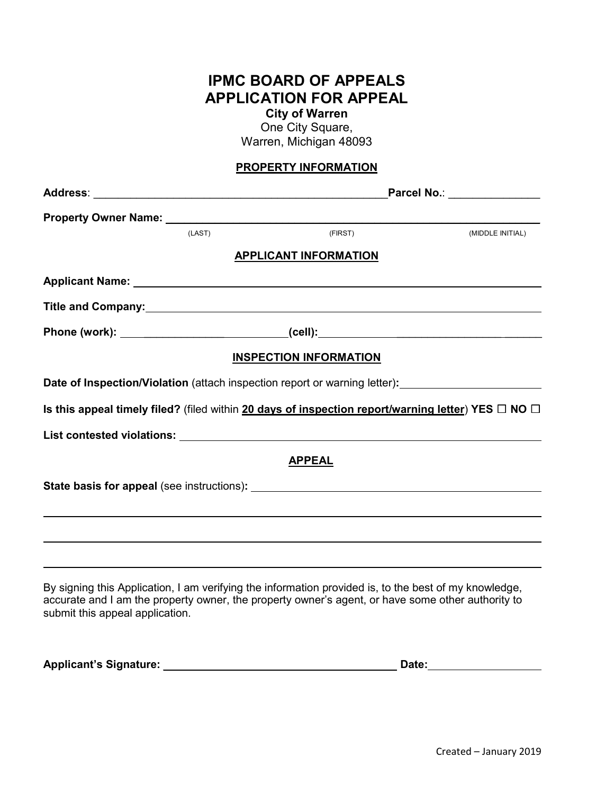# **IPMC BOARD OF APPEALS APPLICATION FOR APPEAL**

**City of Warren**  One City Square,

Warren, Michigan 48093

### **PROPERTY INFORMATION**

|                                 |        | Parcel No.: ________________                                                                                                                                                                                                   |                  |  |
|---------------------------------|--------|--------------------------------------------------------------------------------------------------------------------------------------------------------------------------------------------------------------------------------|------------------|--|
|                                 |        |                                                                                                                                                                                                                                |                  |  |
|                                 | (LAST) | (FIRST)                                                                                                                                                                                                                        | (MIDDLE INITIAL) |  |
|                                 |        | <b>APPLICANT INFORMATION</b>                                                                                                                                                                                                   |                  |  |
|                                 |        |                                                                                                                                                                                                                                |                  |  |
|                                 |        |                                                                                                                                                                                                                                |                  |  |
|                                 |        | Phone (work): _______________________________(cell):____________________________                                                                                                                                               |                  |  |
|                                 |        | <b>INSPECTION INFORMATION</b>                                                                                                                                                                                                  |                  |  |
|                                 |        | Date of Inspection/Violation (attach inspection report or warning letter):<br><u>Date of Inspection/Violation</u> (attach inspection report or warning letter):                                                                |                  |  |
|                                 |        | Is this appeal timely filed? (filed within 20 days of inspection report/warning letter) YES $\Box$ NO $\Box$                                                                                                                   |                  |  |
|                                 |        |                                                                                                                                                                                                                                |                  |  |
|                                 |        | <b>APPEAL</b>                                                                                                                                                                                                                  |                  |  |
|                                 |        | State basis for appeal (see instructions): State basis of the state basis of the state of the state of the state of the state of the state of the state of the state of the state of the state of the state of the state of th |                  |  |
|                                 |        |                                                                                                                                                                                                                                |                  |  |
|                                 |        |                                                                                                                                                                                                                                |                  |  |
|                                 |        |                                                                                                                                                                                                                                |                  |  |
| submit this appeal application. |        | By signing this Application, I am verifying the information provided is, to the best of my knowledge,<br>accurate and I am the property owner, the property owner's agent, or have some other authority to                     |                  |  |

**Applicant's Signature:** \_\_\_\_\_\_\_\_\_\_\_\_\_\_\_\_\_\_\_\_\_\_\_\_\_\_\_ **Date:**